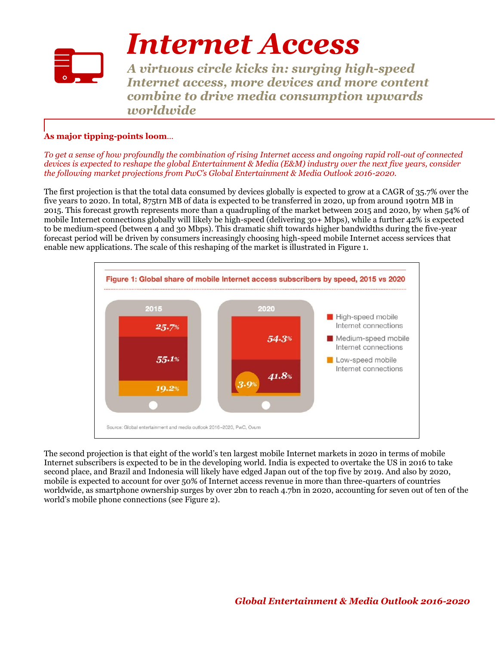

# *Internet Access*

*A virtuous circle kicks in: surging high-speed Internet access, more devices and more content combine to drive media consumption upwards worldwide*

### **As major tipping-points loom***…*

*To get a sense of how profoundly the combination of rising Internet access and ongoing rapid roll-out of connected devices is expected to reshape the global Entertainment & Media (E&M) industry over the next five years, consider the following market projections from PwC's Global Entertainment & Media Outlook 2016-2020.*

The first projection is that the total data consumed by devices globally is expected to grow at a CAGR of 35.7% over the five years to 2020. In total, 875trn MB of data is expected to be transferred in 2020, up from around 190trn MB in 2015. This forecast growth represents more than a quadrupling of the market between 2015 and 2020, by when 54% of mobile Internet connections globally will likely be high-speed (delivering 30+ Mbps), while a further 42% is expected to be medium-speed (between 4 and 30 Mbps). This dramatic shift towards higher bandwidths during the five-year forecast period will be driven by consumers increasingly choosing high-speed mobile Internet access services that enable new applications. The scale of this reshaping of the market is illustrated in Figure 1.



The second projection is that eight of the world's ten largest mobile Internet markets in 2020 in terms of mobile Internet subscribers is expected to be in the developing world. India is expected to overtake the US in 2016 to take second place, and Brazil and Indonesia will likely have edged Japan out of the top five by 2019. And also by 2020, mobile is expected to account for over 50% of Internet access revenue in more than three-quarters of countries worldwide, as smartphone ownership surges by over 2bn to reach 4.7bn in 2020, accounting for seven out of ten of the world's mobile phone connections (see Figure 2).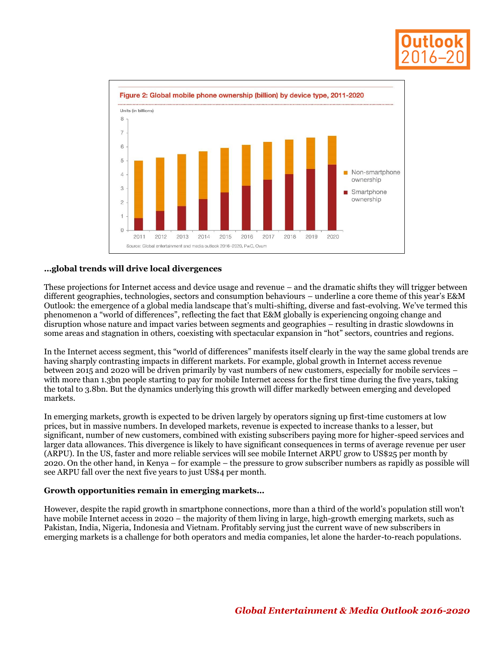



#### **…global trends will drive local divergences**

These projections for Internet access and device usage and revenue – and the dramatic shifts they will trigger between different geographies, technologies, sectors and consumption behaviours – underline a core theme of this year's E&M Outlook: the emergence of a global media landscape that's multi-shifting, diverse and fast-evolving. We've termed this phenomenon a "world of differences", reflecting the fact that E&M globally is experiencing ongoing change and disruption whose nature and impact varies between segments and geographies – resulting in drastic slowdowns in some areas and stagnation in others, coexisting with spectacular expansion in "hot" sectors, countries and regions.

In the Internet access segment, this "world of differences" manifests itself clearly in the way the same global trends are having sharply contrasting impacts in different markets. For example, global growth in Internet access revenue between 2015 and 2020 will be driven primarily by vast numbers of new customers, especially for mobile services – with more than 1.3bn people starting to pay for mobile Internet access for the first time during the five years, taking the total to 3.8bn. But the dynamics underlying this growth will differ markedly between emerging and developed markets.

In emerging markets, growth is expected to be driven largely by operators signing up first-time customers at low prices, but in massive numbers. In developed markets, revenue is expected to increase thanks to a lesser, but significant, number of new customers, combined with existing subscribers paying more for higher-speed services and larger data allowances. This divergence is likely to have significant consequences in terms of average revenue per user (ARPU). In the US, faster and more reliable services will see mobile Internet ARPU grow to US\$25 per month by 2020. On the other hand, in Kenya – for example – the pressure to grow subscriber numbers as rapidly as possible will see ARPU fall over the next five years to just US\$4 per month.

#### **Growth opportunities remain in emerging markets…**

However, despite the rapid growth in smartphone connections, more than a third of the world's population still won't have mobile Internet access in 2020 – the majority of them living in large, high-growth emerging markets, such as Pakistan, India, Nigeria, Indonesia and Vietnam. Profitably serving just the current wave of new subscribers in emerging markets is a challenge for both operators and media companies, let alone the harder-to-reach populations.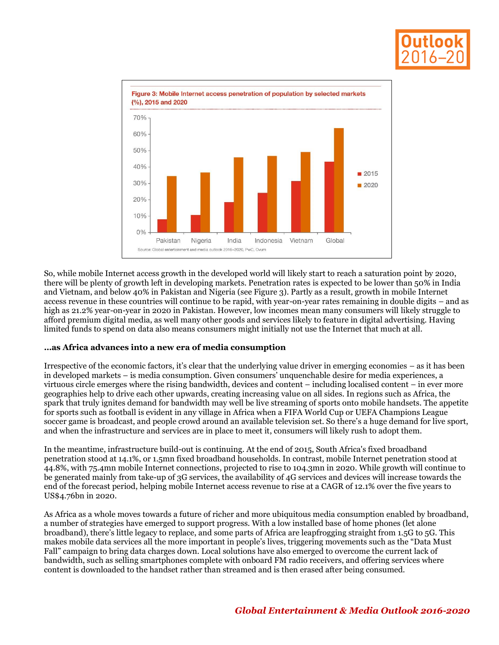



So, while mobile Internet access growth in the developed world will likely start to reach a saturation point by 2020, there will be plenty of growth left in developing markets. Penetration rates is expected to be lower than 50% in India and Vietnam, and below 40% in Pakistan and Nigeria (see Figure 3). Partly as a result, growth in mobile Internet access revenue in these countries will continue to be rapid, with year-on-year rates remaining in double digits – and as high as 21.2% year-on-year in 2020 in Pakistan. However, low incomes mean many consumers will likely struggle to afford premium digital media, as well many other goods and services likely to feature in digital advertising. Having limited funds to spend on data also means consumers might initially not use the Internet that much at all.

#### **…as Africa advances into a new era of media consumption**

Irrespective of the economic factors, it's clear that the underlying value driver in emerging economies – as it has been in developed markets – is media consumption. Given consumers' unquenchable desire for media experiences, a virtuous circle emerges where the rising bandwidth, devices and content – including localised content – in ever more geographies help to drive each other upwards, creating increasing value on all sides. In regions such as Africa, the spark that truly ignites demand for bandwidth may well be live streaming of sports onto mobile handsets. The appetite for sports such as football is evident in any village in Africa when a FIFA World Cup or UEFA Champions League soccer game is broadcast, and people crowd around an available television set. So there's a huge demand for live sport, and when the infrastructure and services are in place to meet it, consumers will likely rush to adopt them.

In the meantime, infrastructure build-out is continuing. At the end of 2015, South Africa's fixed broadband penetration stood at 14.1%, or 1.5mn fixed broadband households. In contrast, mobile Internet penetration stood at 44.8%, with 75.4mn mobile Internet connections, projected to rise to 104.3mn in 2020. While growth will continue to be generated mainly from take-up of 3G services, the availability of 4G services and devices will increase towards the end of the forecast period, helping mobile Internet access revenue to rise at a CAGR of 12.1% over the five years to US\$4.76bn in 2020.

As Africa as a whole moves towards a future of richer and more ubiquitous media consumption enabled by broadband, a number of strategies have emerged to support progress. With a low installed base of home phones (let alone broadband), there's little legacy to replace, and some parts of Africa are leapfrogging straight from 1.5G to 5G. This makes mobile data services all the more important in people's lives, triggering movements such as the "Data Must Fall" campaign to bring data charges down. Local solutions have also emerged to overcome the current lack of bandwidth, such as selling smartphones complete with onboard FM radio receivers, and offering services where content is downloaded to the handset rather than streamed and is then erased after being consumed.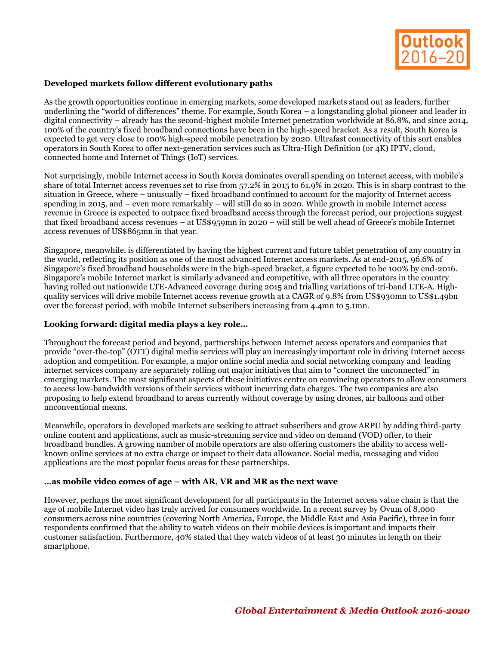

#### **Developed markets follow different evolutionary paths**

As the growth opportunities continue in emerging markets, some developed markets stand out as leaders, further underlining the "world of differences" theme. For example, South Korea – a longstanding global pioneer and leader in digital connectivity – already has the second-highest mobile Internet penetration worldwide at 86.8%, and since 2014, 100% of the country's fixed broadband connections have been in the high-speed bracket. As a result, South Korea is expected to get very close to 100% high-speed mobile penetration by 2020. Ultrafast connectivity of this sort enables operators in South Korea to offer next-generation services such as Ultra-High Definition (or 4K) IPTV, cloud, connected home and Internet of Things (IoT) services.

Not surprisingly, mobile Internet access in South Korea dominates overall spending on Internet access, with mobile's share of total Internet access revenues set to rise from 57.2% in 2015 to 61.9% in 2020. This is in sharp contrast to the situation in Greece, where – unusually – fixed broadband continued to account for the majority of Internet access spending in 2015, and – even more remarkably – will still do so in 2020. While growth in mobile Internet access revenue in Greece is expected to outpace fixed broadband access through the forecast period, our projections suggest that fixed broadband access revenues – at US\$959mn in 2020 – will still be well ahead of Greece's mobile Internet access revenues of US\$865mn in that year.

Singapore, meanwhile, is differentiated by having the highest current and future tablet penetration of any country in the world, reflecting its position as one of the most advanced Internet access markets. As at end-2015, 96.6% of Singapore's fixed broadband households were in the high-speed bracket, a figure expected to be 100% by end-2016. Singapore's mobile Internet market is similarly advanced and competitive, with all three operators in the country having rolled out nationwide LTE-Advanced coverage during 2015 and trialling variations of tri-band LTE-A. Highquality services will drive mobile Internet access revenue growth at a CAGR of 9.8% from US\$930mn to US\$1.49bn over the forecast period, with mobile Internet subscribers increasing from 4.4mn to 5.1mn.

#### **Looking forward: digital media plays a key role…**

Throughout the forecast period and beyond, partnerships between Internet access operators and companies that provide "over-the-top" (OTT) digital media services will play an increasingly important role in driving Internet access adoption and competition. For example, a major online social media and social networking company and leading internet services company are separately rolling out major initiatives that aim to "connect the unconnected" in emerging markets. The most significant aspects of these initiatives centre on convincing operators to allow consumers to access low-bandwidth versions of their services without incurring data charges. The two companies are also proposing to help extend broadband to areas currently without coverage by using drones, air balloons and other unconventional means.

Meanwhile, operators in developed markets are seeking to attract subscribers and grow ARPU by adding third-party online content and applications, such as music-streaming service and video on demand (VOD) offer, to their broadband bundles. A growing number of mobile operators are also offering customers the ability to access wellknown online services at no extra charge or impact to their data allowance. Social media, messaging and video applications are the most popular focus areas for these partnerships.

#### **…as mobile video comes of age – with AR, VR and MR as the next wave**

However, perhaps the most significant development for all participants in the Internet access value chain is that the age of mobile Internet video has truly arrived for consumers worldwide. In a recent survey by Ovum of 8,000 consumers across nine countries (covering North America, Europe, the Middle East and Asia Pacific), three in four respondents confirmed that the ability to watch videos on their mobile devices is important and impacts their customer satisfaction. Furthermore, 40% stated that they watch videos of at least 30 minutes in length on their smartphone.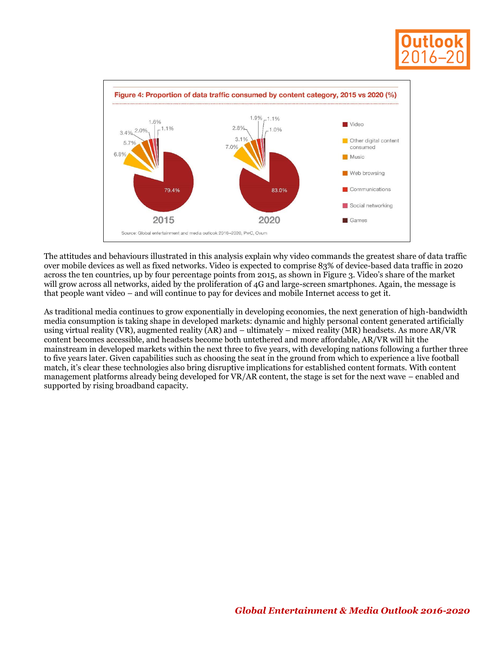



The attitudes and behaviours illustrated in this analysis explain why video commands the greatest share of data traffic over mobile devices as well as fixed networks. Video is expected to comprise 83% of device-based data traffic in 2020 across the ten countries, up by four percentage points from 2015, as shown in Figure 3. Video's share of the market will grow across all networks, aided by the proliferation of 4G and large-screen smartphones. Again, the message is that people want video – and will continue to pay for devices and mobile Internet access to get it.

As traditional media continues to grow exponentially in developing economies, the next generation of high-bandwidth media consumption is taking shape in developed markets: dynamic and highly personal content generated artificially using virtual reality (VR), augmented reality (AR) and – ultimately – mixed reality (MR) headsets. As more AR/VR content becomes accessible, and headsets become both untethered and more affordable, AR/VR will hit the mainstream in developed markets within the next three to five years, with developing nations following a further three to five years later. Given capabilities such as choosing the seat in the ground from which to experience a live football match, it's clear these technologies also bring disruptive implications for established content formats. With content management platforms already being developed for VR/AR content, the stage is set for the next wave – enabled and supported by rising broadband capacity.